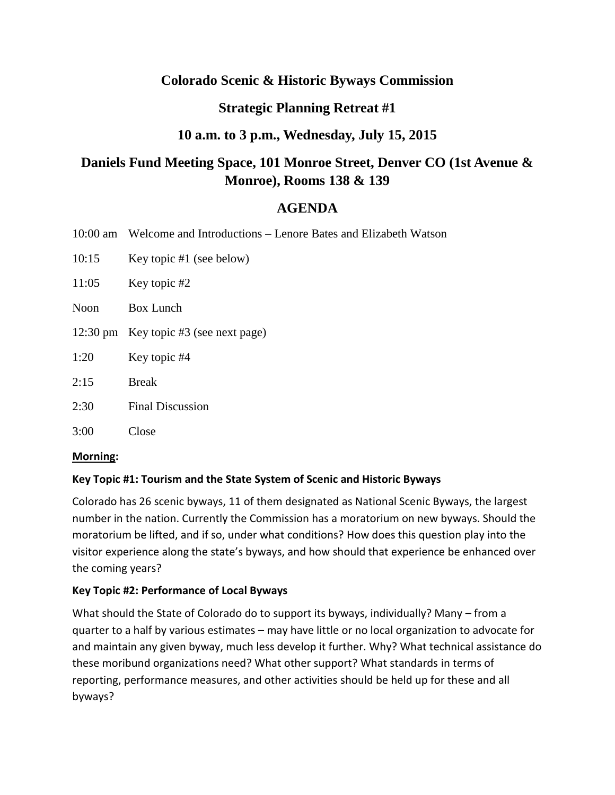# **Colorado Scenic & Historic Byways Commission**

# **Strategic Planning Retreat #1**

# **10 a.m. to 3 p.m., Wednesday, July 15, 2015**

# **Daniels Fund Meeting Space, 101 Monroe Street, Denver CO (1st Avenue & Monroe), Rooms 138 & 139**

# **AGENDA**

- 10:00 am Welcome and Introductions Lenore Bates and Elizabeth Watson
- 10:15 Key topic #1 (see below)
- 11:05 Key topic #2
- Noon Box Lunch
- 12:30 pm Key topic #3 (see next page)
- 1:20 Key topic #4
- 2:15 Break
- 2:30 Final Discussion
- 3:00 Close

## **Morning:**

## **Key Topic #1: Tourism and the State System of Scenic and Historic Byways**

Colorado has 26 scenic byways, 11 of them designated as National Scenic Byways, the largest number in the nation. Currently the Commission has a moratorium on new byways. Should the moratorium be lifted, and if so, under what conditions? How does this question play into the visitor experience along the state's byways, and how should that experience be enhanced over the coming years?

## **Key Topic #2: Performance of Local Byways**

What should the State of Colorado do to support its byways, individually? Many – from a quarter to a half by various estimates – may have little or no local organization to advocate for and maintain any given byway, much less develop it further. Why? What technical assistance do these moribund organizations need? What other support? What standards in terms of reporting, performance measures, and other activities should be held up for these and all byways?